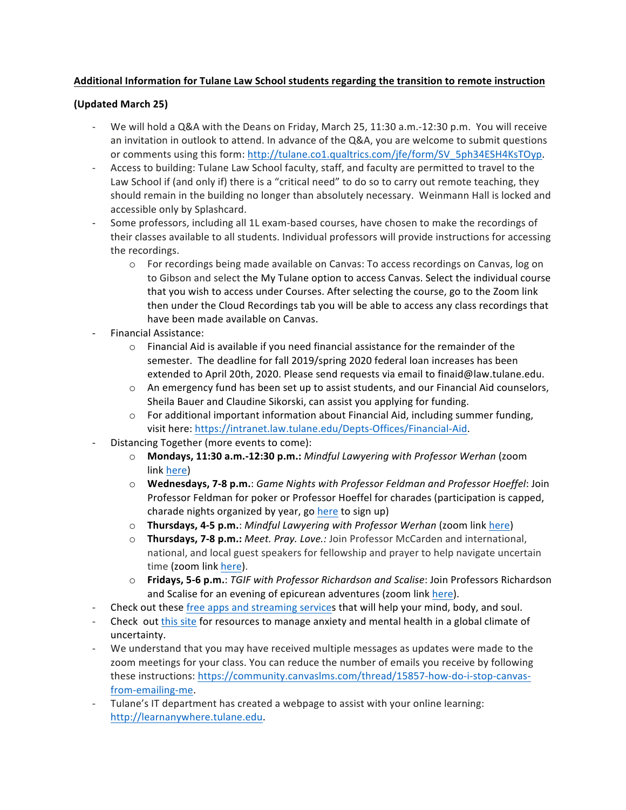# Additional Information for Tulane Law School students regarding the transition to remote instruction

# **(Updated March 25)**

- We will hold a Q&A with the Deans on Friday, March 25, 11:30 a.m.-12:30 p.m. You will receive an invitation in outlook to attend. In advance of the Q&A, you are welcome to submit questions or comments using this form: http://tulane.co1.qualtrics.com/jfe/form/SV\_5ph34ESH4KsTOyp.
- Access to building: Tulane Law School faculty, staff, and faculty are permitted to travel to the Law School if (and only if) there is a "critical need" to do so to carry out remote teaching, they should remain in the building no longer than absolutely necessary. Weinmann Hall is locked and accessible only by Splashcard.
- Some professors, including all 1L exam-based courses, have chosen to make the recordings of their classes available to all students. Individual professors will provide instructions for accessing the recordings.
	- $\circ$  For recordings being made available on Canvas: To access recordings on Canvas, log on to Gibson and select the My Tulane option to access Canvas. Select the individual course that you wish to access under Courses. After selecting the course, go to the Zoom link then under the Cloud Recordings tab you will be able to access any class recordings that have been made available on Canvas.
- Financial Assistance:
	- $\circ$  Financial Aid is available if you need financial assistance for the remainder of the semester. The deadline for fall 2019/spring 2020 federal loan increases has been extended to April 20th, 2020. Please send requests via email to finaid@law.tulane.edu.
	- $\circ$  An emergency fund has been set up to assist students, and our Financial Aid counselors, Sheila Bauer and Claudine Sikorski, can assist you applying for funding.
	- $\circ$  For additional important information about Financial Aid, including summer funding, visit here: https://intranet.law.tulane.edu/Depts-Offices/Financial-Aid.
- Distancing Together (more events to come):
	- o **Mondays, 11:30 a.m.-12:30 p.m.:** *Mindful Lawyering with Professor Werhan* (zoom link here)
	- o **Wednesdays, 7-8 p.m.**: *Game Nights with Professor Feldman and Professor Hoeffel*: Join Professor Feldman for poker or Professor Hoeffel for charades (participation is capped, charade nights organized by year, go here to sign up)
	- o **Thursdays, 4-5 p.m.**: *Mindful Lawyering with Professor Werhan* (zoom link here)
	- o **Thursdays, 7-8 p.m.:** *Meet. Pray. Love.:* Join Professor McCarden and international, national, and local guest speakers for fellowship and prayer to help navigate uncertain time (zoom link here).
	- o **Fridays, 5-6 p.m.**: *TGIF with Professor Richardson and Scalise*: Join Professors Richardson and Scalise for an evening of epicurean adventures (zoom link here).
- Check out these free apps and streaming services that will help your mind, body, and soul.
- Check out this site for resources to manage anxiety and mental health in a global climate of uncertainty.
- We understand that you may have received multiple messages as updates were made to the zoom meetings for your class. You can reduce the number of emails you receive by following these instructions: https://community.canvaslms.com/thread/15857-how-do-i-stop-canvasfrom-emailing-me.
- Tulane's IT department has created a webpage to assist with your online learning: http://learnanywhere.tulane.edu.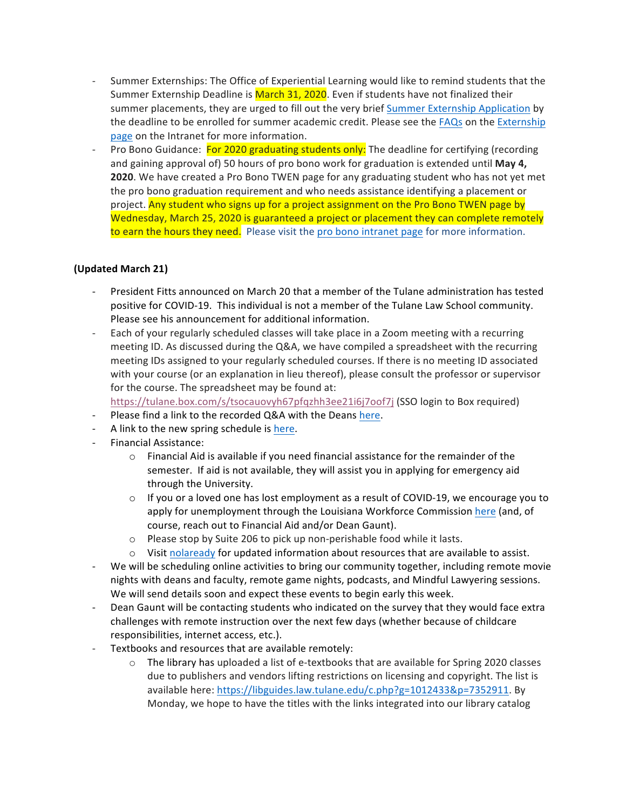- Summer Externships: The Office of Experiential Learning would like to remind students that the Summer Externship Deadline is March 31, 2020. Even if students have not finalized their summer placements, they are urged to fill out the very brief Summer Externship Application by the deadline to be enrolled for summer academic credit. Please see the FAQs on the Externship page on the Intranet for more information.
- Pro Bono Guidance: For 2020 graduating students only: The deadline for certifying (recording and gaining approval of) 50 hours of pro bono work for graduation is extended until **May 4, 2020**. We have created a Pro Bono TWEN page for any graduating student who has not yet met the pro bono graduation requirement and who needs assistance identifying a placement or project. Any student who signs up for a project assignment on the Pro Bono TWEN page by Wednesday, March 25, 2020 is guaranteed a project or placement they can complete remotely to earn the hours they need. Please visit the pro bono intranet page for more information.

## **(Updated March 21)**

- President Fitts announced on March 20 that a member of the Tulane administration has tested positive for COVID-19. This individual is not a member of the Tulane Law School community. Please see his announcement for additional information.
- Each of your regularly scheduled classes will take place in a Zoom meeting with a recurring meeting ID. As discussed during the Q&A, we have compiled a spreadsheet with the recurring meeting IDs assigned to your regularly scheduled courses. If there is no meeting ID associated with your course (or an explanation in lieu thereof), please consult the professor or supervisor for the course. The spreadsheet may be found at:

https://tulane.box.com/s/tsocauovyh67pfqzhh3ee21i6j7oof7j (SSO login to Box required)

- Please find a link to the recorded Q&A with the Deans here.
- A link to the new spring schedule is here.
- Financial Assistance:
	- $\circ$  Financial Aid is available if you need financial assistance for the remainder of the semester. If aid is not available, they will assist you in applying for emergency aid through the University.
	- $\circ$  If you or a loved one has lost employment as a result of COVID-19, we encourage you to apply for unemployment through the Louisiana Workforce Commission here (and, of course, reach out to Financial Aid and/or Dean Gaunt).
	- o Please stop by Suite 206 to pick up non-perishable food while it lasts.
	- $\circ$  Visit nolaready for updated information about resources that are available to assist.
- We will be scheduling online activities to bring our community together, including remote movie nights with deans and faculty, remote game nights, podcasts, and Mindful Lawyering sessions. We will send details soon and expect these events to begin early this week.
- Dean Gaunt will be contacting students who indicated on the survey that they would face extra challenges with remote instruction over the next few days (whether because of childcare responsibilities, internet access, etc.).
- Textbooks and resources that are available remotely:
	- $\circ$  The library has uploaded a list of e-textbooks that are available for Spring 2020 classes due to publishers and vendors lifting restrictions on licensing and copyright. The list is available here: https://libguides.law.tulane.edu/c.php?g=1012433&p=7352911. By Monday, we hope to have the titles with the links integrated into our library catalog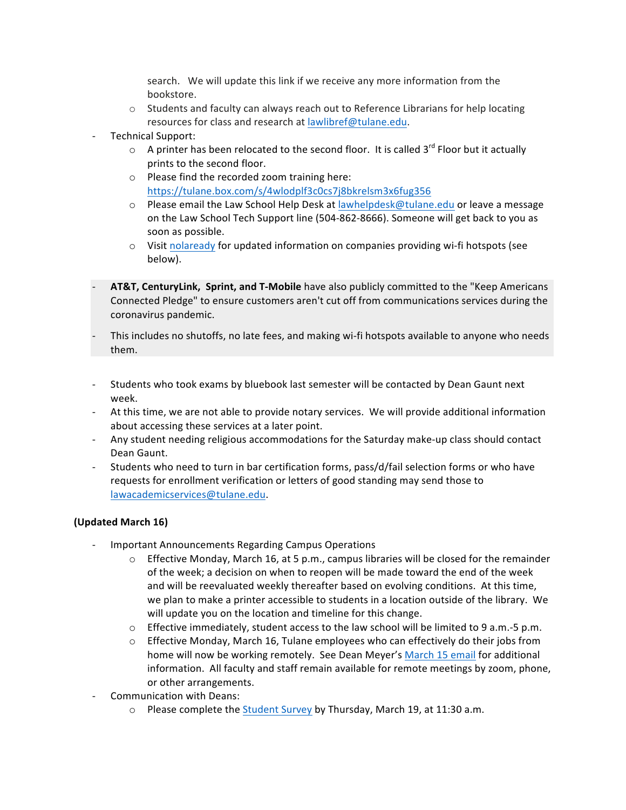search. We will update this link if we receive any more information from the bookstore.

- $\circ$  Students and faculty can always reach out to Reference Librarians for help locating resources for class and research at lawlibref@tulane.edu.
- Technical Support:
	- $\circ$  A printer has been relocated to the second floor. It is called 3<sup>rd</sup> Floor but it actually prints to the second floor.
	- $\circ$  Please find the recorded zoom training here: https://tulane.box.com/s/4wlodplf3c0cs7j8bkrelsm3x6fug356
	- $\circ$  Please email the Law School Help Desk at lawhelpdesk@tulane.edu or leave a message on the Law School Tech Support line (504-862-8666). Someone will get back to you as soon as possible.
	- $\circ$  Visit nolaready for updated information on companies providing wi-fi hotspots (see below).
- AT&T, CenturyLink, Sprint, and T-Mobile have also publicly committed to the "Keep Americans Connected Pledge" to ensure customers aren't cut off from communications services during the coronavirus pandemic.
- This includes no shutoffs, no late fees, and making wi-fi hotspots available to anyone who needs them.
- Students who took exams by bluebook last semester will be contacted by Dean Gaunt next week.
- At this time, we are not able to provide notary services. We will provide additional information about accessing these services at a later point.
- Any student needing religious accommodations for the Saturday make-up class should contact Dean Gaunt.
- Students who need to turn in bar certification forms, pass/d/fail selection forms or who have requests for enrollment verification or letters of good standing may send those to lawacademicservices@tulane.edu.

#### **(Updated March 16)**

- Important Announcements Regarding Campus Operations
	- $\circ$  Effective Monday, March 16, at 5 p.m., campus libraries will be closed for the remainder of the week; a decision on when to reopen will be made toward the end of the week and will be reevaluated weekly thereafter based on evolving conditions. At this time, we plan to make a printer accessible to students in a location outside of the library. We will update you on the location and timeline for this change.
	- $\circ$  Effective immediately, student access to the law school will be limited to 9 a.m.-5 p.m.
	- $\circ$  Effective Monday, March 16, Tulane employees who can effectively do their jobs from home will now be working remotely. See Dean Meyer's March 15 email for additional information. All faculty and staff remain available for remote meetings by zoom, phone, or other arrangements.
- Communication with Deans:
	- $\circ$  Please complete the Student Survey by Thursday, March 19, at 11:30 a.m.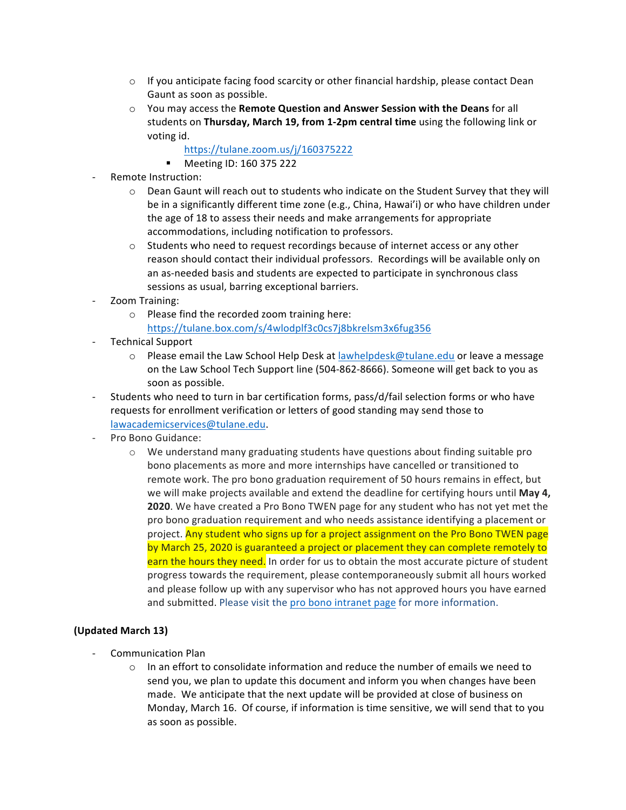- $\circ$  If you anticipate facing food scarcity or other financial hardship, please contact Dean Gaunt as soon as possible.
- o You may access the **Remote Question and Answer Session with the Deans** for all students on Thursday, March 19, from 1-2pm central time using the following link or voting id.
	- https://tulane.zoom.us/j/160375222
	- § Meeting ID: 160 375 222
- Remote Instruction:
	- $\circ$  Dean Gaunt will reach out to students who indicate on the Student Survey that they will be in a significantly different time zone (e.g., China, Hawai'i) or who have children under the age of 18 to assess their needs and make arrangements for appropriate accommodations, including notification to professors.
	- $\circ$  Students who need to request recordings because of internet access or any other reason should contact their individual professors. Recordings will be available only on an as-needed basis and students are expected to participate in synchronous class sessions as usual, barring exceptional barriers.
- Zoom Training:
	- $\circ$  Please find the recorded zoom training here: https://tulane.box.com/s/4wlodplf3c0cs7j8bkrelsm3x6fug356
- Technical Support
	- $\circ$  Please email the Law School Help Desk at lawhelpdesk@tulane.edu or leave a message on the Law School Tech Support line (504-862-8666). Someone will get back to you as soon as possible.
- Students who need to turn in bar certification forms, pass/d/fail selection forms or who have requests for enrollment verification or letters of good standing may send those to lawacademicservices@tulane.edu.
- Pro Bono Guidance:
	- o We understand many graduating students have questions about finding suitable pro bono placements as more and more internships have cancelled or transitioned to remote work. The pro bono graduation requirement of 50 hours remains in effect, but we will make projects available and extend the deadline for certifying hours until **May 4, 2020**. We have created a Pro Bono TWEN page for any student who has not yet met the pro bono graduation requirement and who needs assistance identifying a placement or project. Any student who signs up for a project assignment on the Pro Bono TWEN page by March 25, 2020 is guaranteed a project or placement they can complete remotely to earn the hours they need. In order for us to obtain the most accurate picture of student progress towards the requirement, please contemporaneously submit all hours worked and please follow up with any supervisor who has not approved hours you have earned and submitted. Please visit the pro bono intranet page for more information.

# **(Updated March 13)**

- Communication Plan
	- $\circ$  In an effort to consolidate information and reduce the number of emails we need to send you, we plan to update this document and inform you when changes have been made. We anticipate that the next update will be provided at close of business on Monday, March 16. Of course, if information is time sensitive, we will send that to you as soon as possible.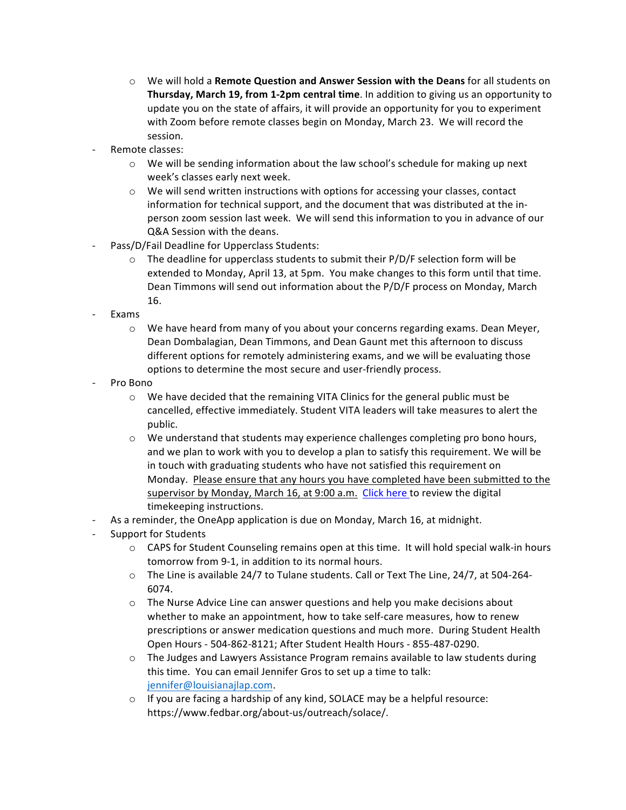- o We will hold a **Remote Question and Answer Session with the Deans** for all students on **Thursday, March 19, from 1-2pm central time**. In addition to giving us an opportunity to update you on the state of affairs, it will provide an opportunity for you to experiment with Zoom before remote classes begin on Monday, March 23. We will record the session.
- Remote classes:
	- $\circ$  We will be sending information about the law school's schedule for making up next week's classes early next week.
	- $\circ$  We will send written instructions with options for accessing your classes, contact information for technical support, and the document that was distributed at the inperson zoom session last week. We will send this information to you in advance of our Q&A Session with the deans.
- Pass/D/Fail Deadline for Upperclass Students:
	- $\circ$  The deadline for upperclass students to submit their P/D/F selection form will be extended to Monday, April 13, at 5pm. You make changes to this form until that time. Dean Timmons will send out information about the P/D/F process on Monday, March 16.
- **Exams** 
	- $\circ$  We have heard from many of you about your concerns regarding exams. Dean Meyer, Dean Dombalagian, Dean Timmons, and Dean Gaunt met this afternoon to discuss different options for remotely administering exams, and we will be evaluating those options to determine the most secure and user-friendly process.
- Pro Bono
	- $\circ$  We have decided that the remaining VITA Clinics for the general public must be cancelled, effective immediately. Student VITA leaders will take measures to alert the public.
	- $\circ$  We understand that students may experience challenges completing pro bono hours, and we plan to work with you to develop a plan to satisfy this requirement. We will be in touch with graduating students who have not satisfied this requirement on Monday. Please ensure that any hours you have completed have been submitted to the supervisor by Monday, March 16, at 9:00 a.m. Click here to review the digital timekeeping instructions.
- As a reminder, the OneApp application is due on Monday, March 16, at midnight.
- Support for Students
	- $\circ$  CAPS for Student Counseling remains open at this time. It will hold special walk-in hours tomorrow from 9-1, in addition to its normal hours.
	- $\circ$  The Line is available 24/7 to Tulane students. Call or Text The Line, 24/7, at 504-264-6074.
	- $\circ$  The Nurse Advice Line can answer questions and help you make decisions about whether to make an appointment, how to take self-care measures, how to renew prescriptions or answer medication questions and much more. During Student Health Open Hours - 504-862-8121; After Student Health Hours - 855-487-0290.
	- $\circ$  The Judges and Lawyers Assistance Program remains available to law students during this time. You can email Jennifer Gros to set up a time to talk: jennifer@louisianajlap.com.
	- $\circ$  If you are facing a hardship of any kind, SOLACE may be a helpful resource: https://www.fedbar.org/about-us/outreach/solace/.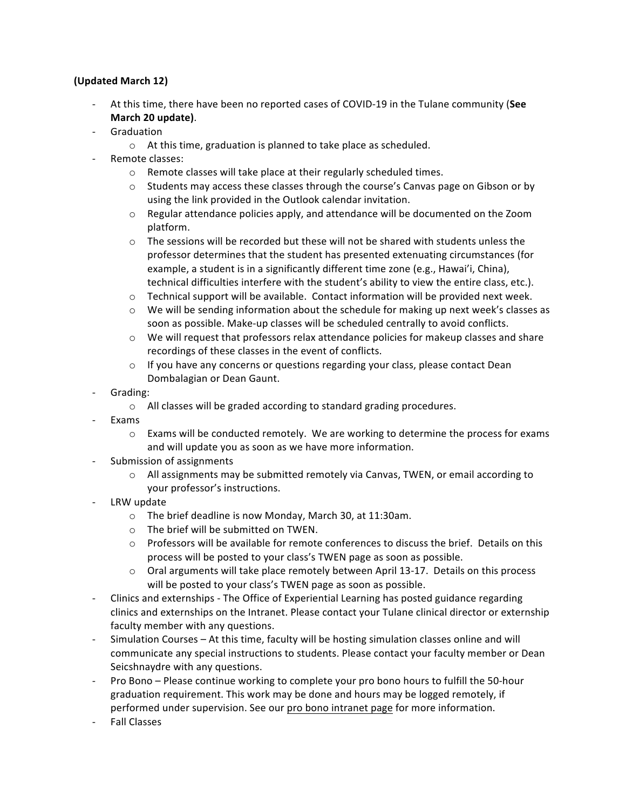## **(Updated March 12)**

- At this time, there have been no reported cases of COVID-19 in the Tulane community (See **March 20 update)**.
- Graduation
	- $\circ$  At this time, graduation is planned to take place as scheduled.
	- Remote classes:
		- $\circ$  Remote classes will take place at their regularly scheduled times.
		- $\circ$  Students may access these classes through the course's Canvas page on Gibson or by using the link provided in the Outlook calendar invitation.
		- $\circ$  Regular attendance policies apply, and attendance will be documented on the Zoom platform.
		- $\circ$  The sessions will be recorded but these will not be shared with students unless the professor determines that the student has presented extenuating circumstances (for example, a student is in a significantly different time zone (e.g., Hawai'i, China), technical difficulties interfere with the student's ability to view the entire class, etc.).
		- $\circ$  Technical support will be available. Contact information will be provided next week.
		- $\circ$  We will be sending information about the schedule for making up next week's classes as soon as possible. Make-up classes will be scheduled centrally to avoid conflicts.
		- $\circ$  We will request that professors relax attendance policies for makeup classes and share recordings of these classes in the event of conflicts.
		- $\circ$  If you have any concerns or questions regarding your class, please contact Dean Dombalagian or Dean Gaunt.
- Grading:
	- $\circ$  All classes will be graded according to standard grading procedures.
- **Exams** 
	- $\circ$  Exams will be conducted remotely. We are working to determine the process for exams and will update you as soon as we have more information.
- Submission of assignments
	- $\circ$  All assignments may be submitted remotely via Canvas, TWEN, or email according to your professor's instructions.
- LRW update
	- $\circ$  The brief deadline is now Monday, March 30, at 11:30am.
	- $\circ$  The brief will be submitted on TWEN.
	- $\circ$  Professors will be available for remote conferences to discuss the brief. Details on this process will be posted to your class's TWEN page as soon as possible.
	- $\circ$  Oral arguments will take place remotely between April 13-17. Details on this process will be posted to your class's TWEN page as soon as possible.
- Clinics and externships The Office of Experiential Learning has posted guidance regarding clinics and externships on the Intranet. Please contact your Tulane clinical director or externship faculty member with any questions.
- Simulation Courses  $-$  At this time, faculty will be hosting simulation classes online and will communicate any special instructions to students. Please contact your faculty member or Dean Seicshnaydre with any questions.
- Pro Bono Please continue working to complete your pro bono hours to fulfill the 50-hour graduation requirement. This work may be done and hours may be logged remotely, if performed under supervision. See our pro bono intranet page for more information.
- Fall Classes